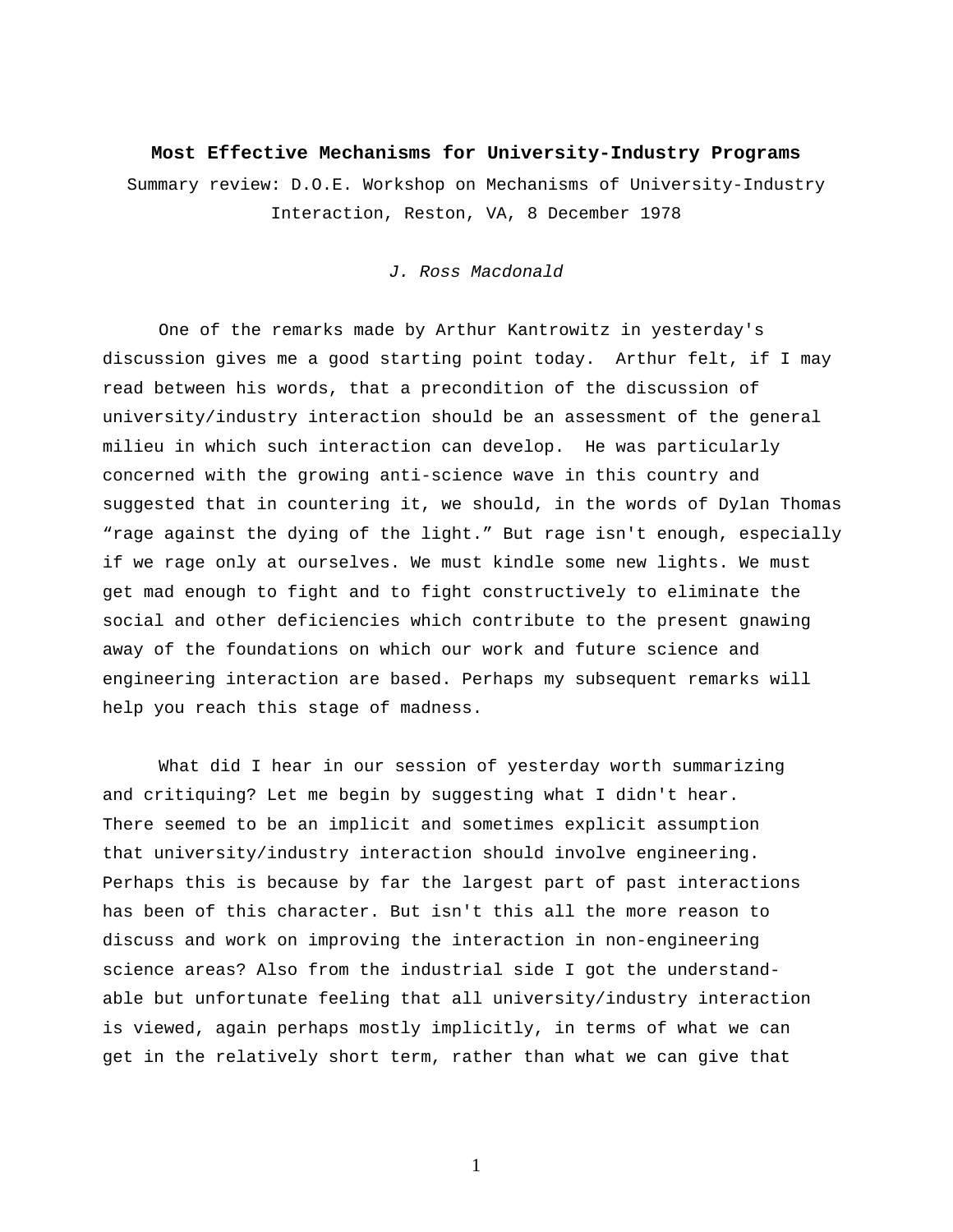## **Most Effective Mechanisms for University-Industry Programs**

Summary review: D.O.E. Workshop on Mechanisms of University-Industry Interaction, Reston, VA, 8 December 1978

## *J. Ross Macdonald*

 One of the remarks made by Arthur Kantrowitz in yesterday's discussion gives me a good starting point today. Arthur felt, if I may read between his words, that a precondition of the discussion of university/industry interaction should be an assessment of the general milieu in which such interaction can develop. He was particularly concerned with the growing anti-science wave in this country and suggested that in countering it, we should, in the words of Dylan Thomas "rage against the dying of the light." But rage isn't enough, especially if we rage only at ourselves. We must kindle some new lights. We must get mad enough to fight and to fight constructively to eliminate the social and other deficiencies which contribute to the present gnawing away of the foundations on which our work and future science and engineering interaction are based. Perhaps my subsequent remarks will help you reach this stage of madness.

What did I hear in our session of yesterday worth summarizing and critiquing? Let me begin by suggesting what I didn't hear. There seemed to be an implicit and sometimes explicit assumption that university/industry interaction should involve engineering. Perhaps this is because by far the largest part of past interactions has been of this character. But isn't this all the more reason to discuss and work on improving the interaction in non-engineering science areas? Also from the industrial side I got the understandable but unfortunate feeling that all university/industry interaction is viewed, again perhaps mostly implicitly, in terms of what we can get in the relatively short term, rather than what we can give that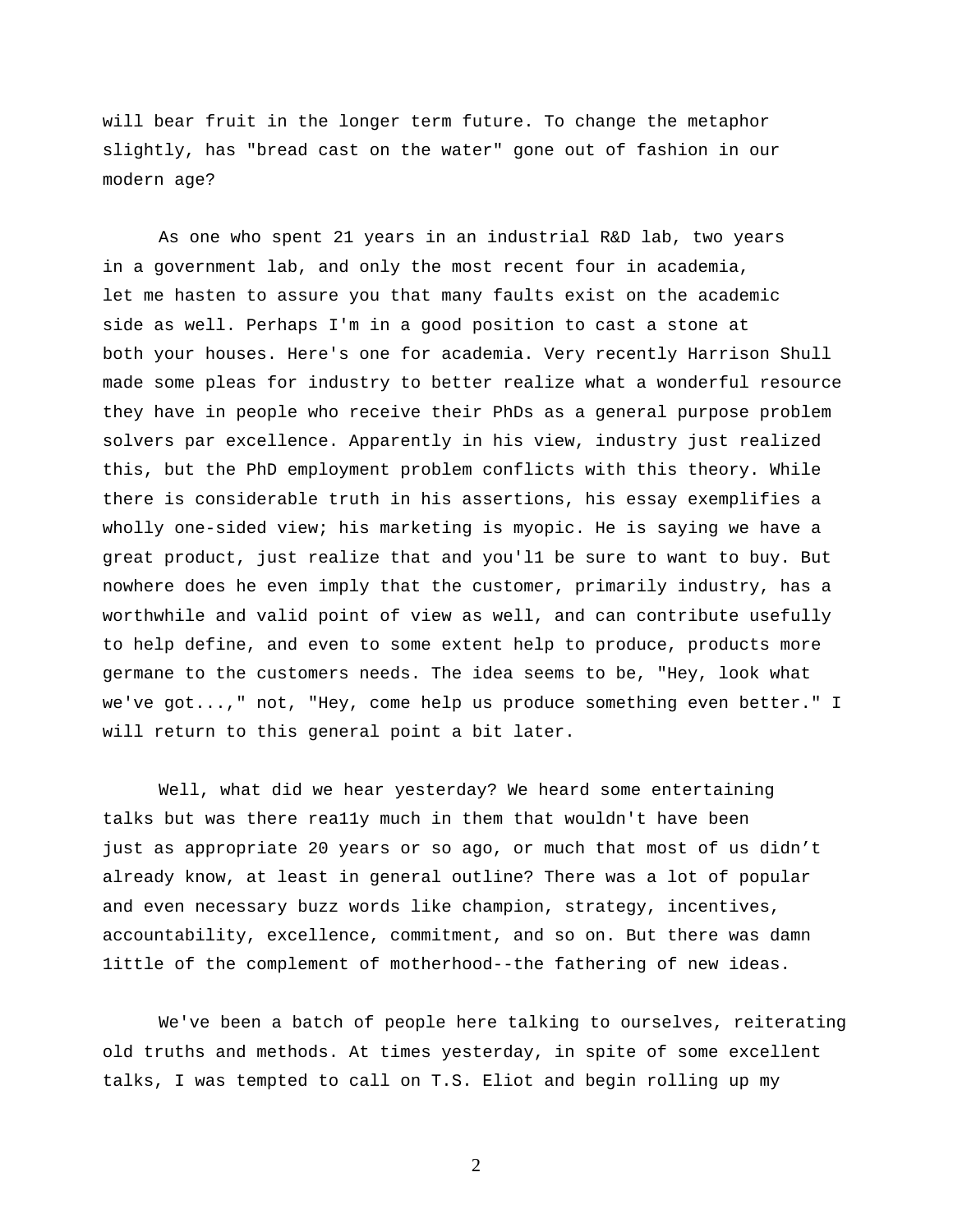will bear fruit in the longer term future. To change the metaphor slightly, has "bread cast on the water" gone out of fashion in our modern age?

As one who spent 21 years in an industrial R&D lab, two years in a government lab, and only the most recent four in academia, let me hasten to assure you that many faults exist on the academic side as well. Perhaps I'm in a good position to cast a stone at both your houses. Here's one for academia. Very recently Harrison Shull made some pleas for industry to better realize what a wonderful resource they have in people who receive their PhDs as a general purpose problem solvers par excellence. Apparently in his view, industry just realized this, but the PhD employment problem conflicts with this theory. While there is considerable truth in his assertions, his essay exemplifies a wholly one-sided view; his marketing is myopic. He is saying we have a great product, just realize that and you'l1 be sure to want to buy. But nowhere does he even imply that the customer, primarily industry, has a worthwhile and valid point of view as well, and can contribute usefully to help define, and even to some extent help to produce, products more germane to the customers needs. The idea seems to be, "Hey, look what we've got...," not, "Hey, come help us produce something even better." I will return to this general point a bit later.

Well, what did we hear yesterday? We heard some entertaining talks but was there rea11y much in them that wouldn't have been just as appropriate 20 years or so ago, or much that most of us didn't already know, at least in general outline? There was a lot of popular and even necessary buzz words like champion, strategy, incentives, accountability, excellence, commitment, and so on. But there was damn 1ittle of the complement of motherhood--the fathering of new ideas.

We've been a batch of people here talking to ourselves, reiterating old truths and methods. At times yesterday, in spite of some excellent talks, I was tempted to call on T.S. Eliot and begin rolling up my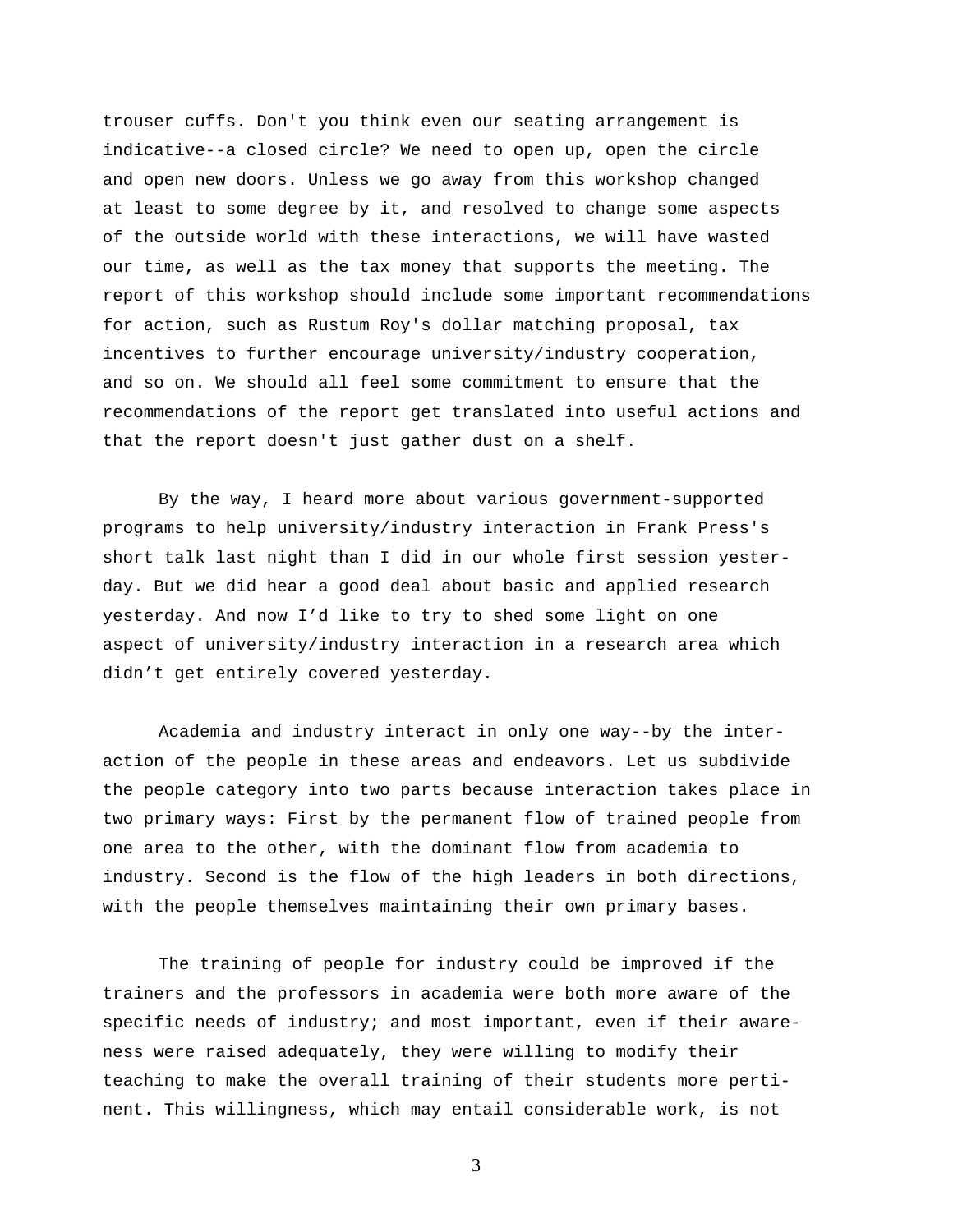trouser cuffs. Don't you think even our seating arrangement is indicative--a closed circle? We need to open up, open the circle and open new doors. Unless we go away from this workshop changed at least to some degree by it, and resolved to change some aspects of the outside world with these interactions, we will have wasted our time, as well as the tax money that supports the meeting. The report of this workshop should include some important recommendations for action, such as Rustum Roy's dollar matching proposal, tax incentives to further encourage university/industry cooperation, and so on. We should all feel some commitment to ensure that the recommendations of the report get translated into useful actions and that the report doesn't just gather dust on a shelf.

By the way, I heard more about various government-supported programs to help university/industry interaction in Frank Press's short talk last night than I did in our whole first session yesterday. But we did hear a good deal about basic and applied research yesterday. And now I'd like to try to shed some light on one aspect of university/industry interaction in a research area which didn't get entirely covered yesterday.

Academia and industry interact in only one way--by the interaction of the people in these areas and endeavors. Let us subdivide the people category into two parts because interaction takes place in two primary ways: First by the permanent flow of trained people from one area to the other, with the dominant flow from academia to industry. Second is the flow of the high leaders in both directions, with the people themselves maintaining their own primary bases.

The training of people for industry could be improved if the trainers and the professors in academia were both more aware of the specific needs of industry; and most important, even if their awareness were raised adequately, they were willing to modify their teaching to make the overall training of their students more pertinent. This willingness, which may entail considerable work, is not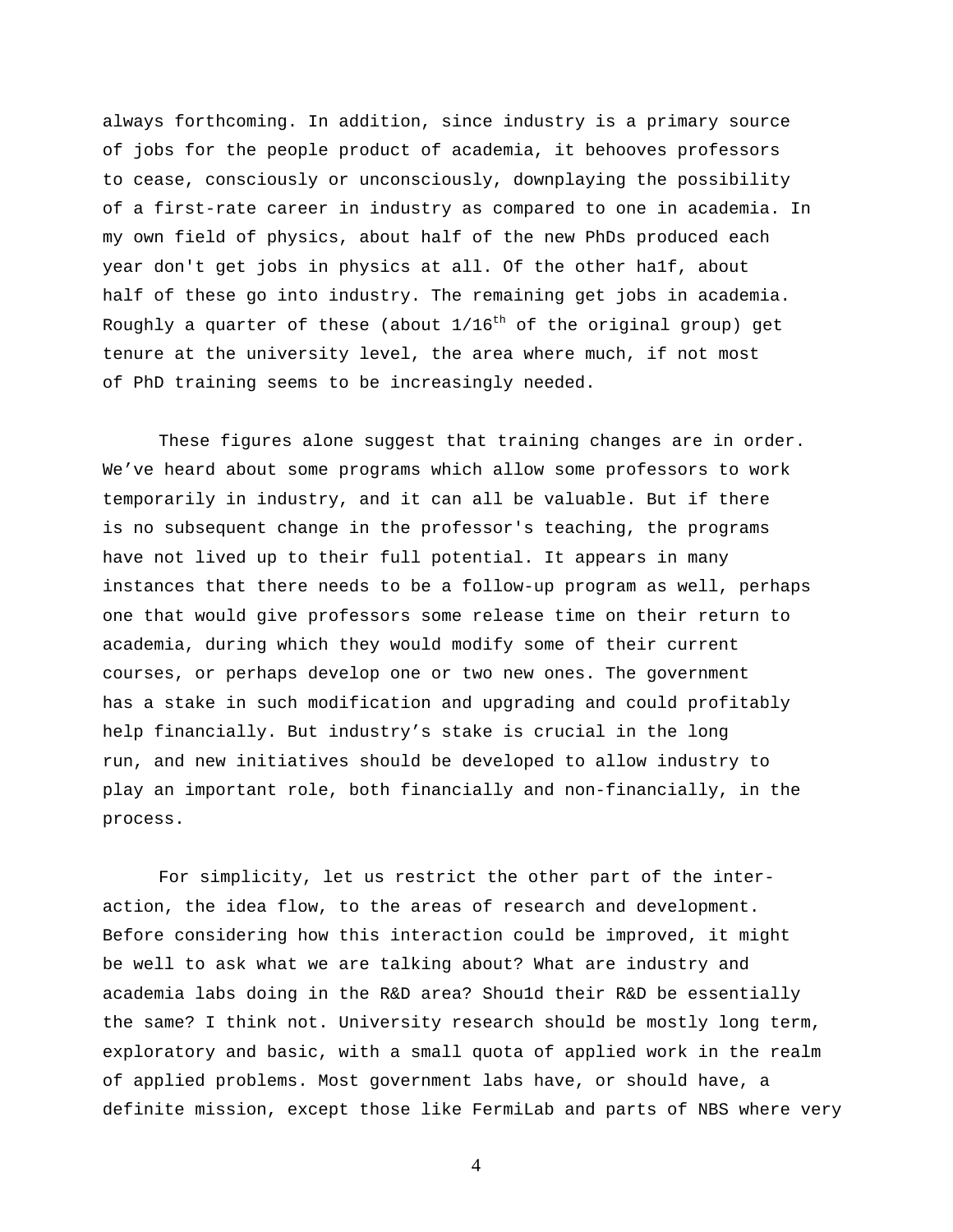always forthcoming. In addition, since industry is a primary source of jobs for the people product of academia, it behooves professors to cease, consciously or unconsciously, downplaying the possibility of a first-rate career in industry as compared to one in academia. In my own field of physics, about half of the new PhDs produced each year don't get jobs in physics at all. Of the other ha1f, about half of these go into industry. The remaining get jobs in academia. Roughly a quarter of these (about  $1/16^{th}$  of the original group) get tenure at the university level, the area where much, if not most of PhD training seems to be increasingly needed.

These figures alone suggest that training changes are in order. We've heard about some programs which allow some professors to work temporarily in industry, and it can all be valuable. But if there is no subsequent change in the professor's teaching, the programs have not lived up to their full potential. It appears in many instances that there needs to be a follow-up program as well, perhaps one that would give professors some release time on their return to academia, during which they would modify some of their current courses, or perhaps develop one or two new ones. The government has a stake in such modification and upgrading and could profitably help financially. But industry's stake is crucial in the long run, and new initiatives should be developed to allow industry to play an important role, both financially and non-financially, in the process.

For simplicity, let us restrict the other part of the interaction, the idea flow, to the areas of research and development. Before considering how this interaction could be improved, it might be well to ask what we are talking about? What are industry and academia labs doing in the R&D area? Shou1d their R&D be essentially the same? I think not. University research should be mostly long term, exploratory and basic, with a small quota of applied work in the realm of applied problems. Most government labs have, or should have, a definite mission, except those like FermiLab and parts of NBS where very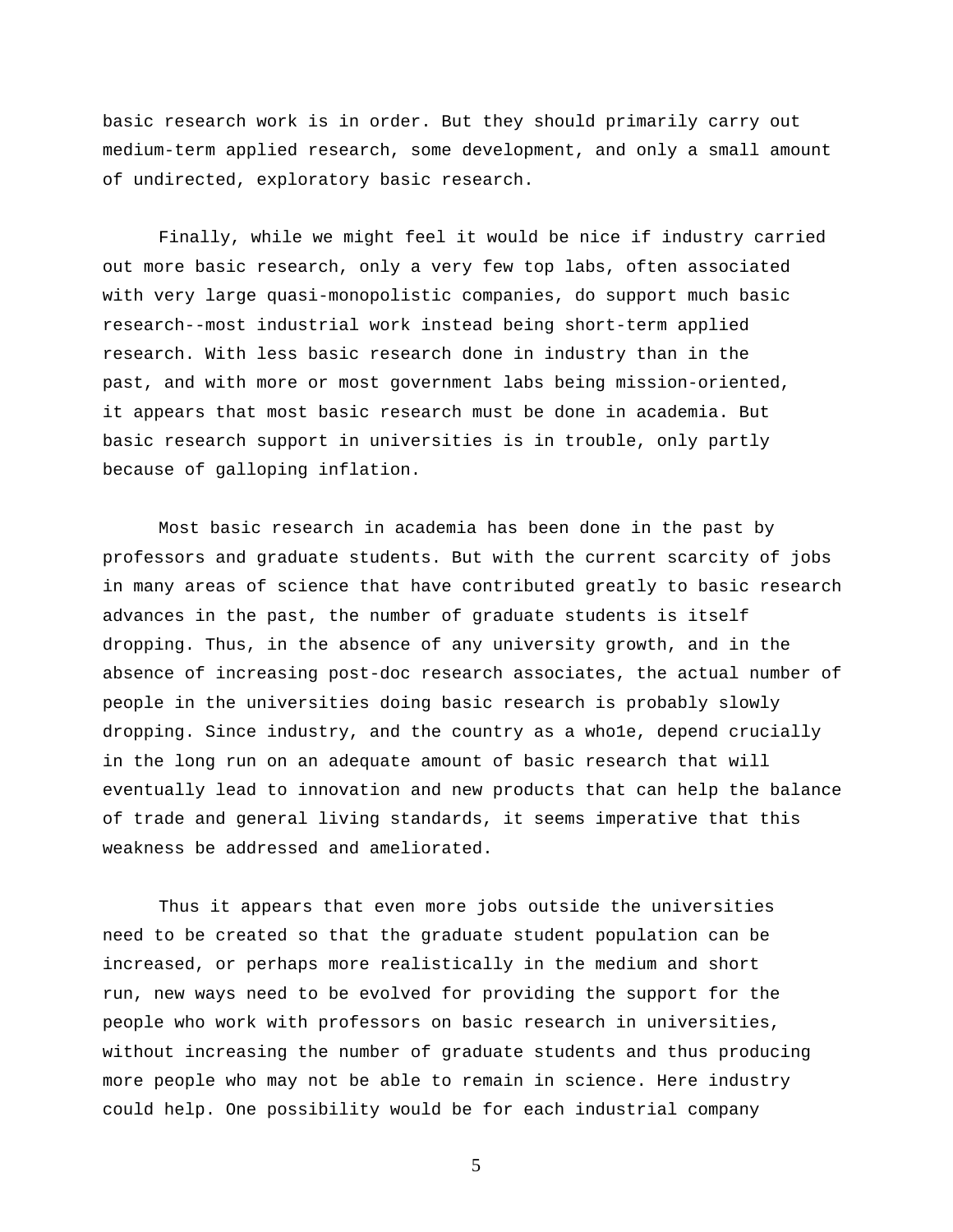basic research work is in order. But they should primarily carry out medium-term applied research, some development, and only a small amount of undirected, exploratory basic research.

Finally, while we might feel it would be nice if industry carried out more basic research, only a very few top labs, often associated with very large quasi-monopolistic companies, do support much basic research--most industrial work instead being short-term applied research. With less basic research done in industry than in the past, and with more or most government labs being mission-oriented, it appears that most basic research must be done in academia. But basic research support in universities is in trouble, only partly because of galloping inflation.

Most basic research in academia has been done in the past by professors and graduate students. But with the current scarcity of jobs in many areas of science that have contributed greatly to basic research advances in the past, the number of graduate students is itself dropping. Thus, in the absence of any university growth, and in the absence of increasing post-doc research associates, the actual number of people in the universities doing basic research is probably slowly dropping. Since industry, and the country as a who1e, depend crucially in the long run on an adequate amount of basic research that will eventually lead to innovation and new products that can help the balance of trade and general living standards, it seems imperative that this weakness be addressed and ameliorated.

Thus it appears that even more jobs outside the universities need to be created so that the graduate student population can be increased, or perhaps more realistically in the medium and short run, new ways need to be evolved for providing the support for the people who work with professors on basic research in universities, without increasing the number of graduate students and thus producing more people who may not be able to remain in science. Here industry could help. One possibility would be for each industrial company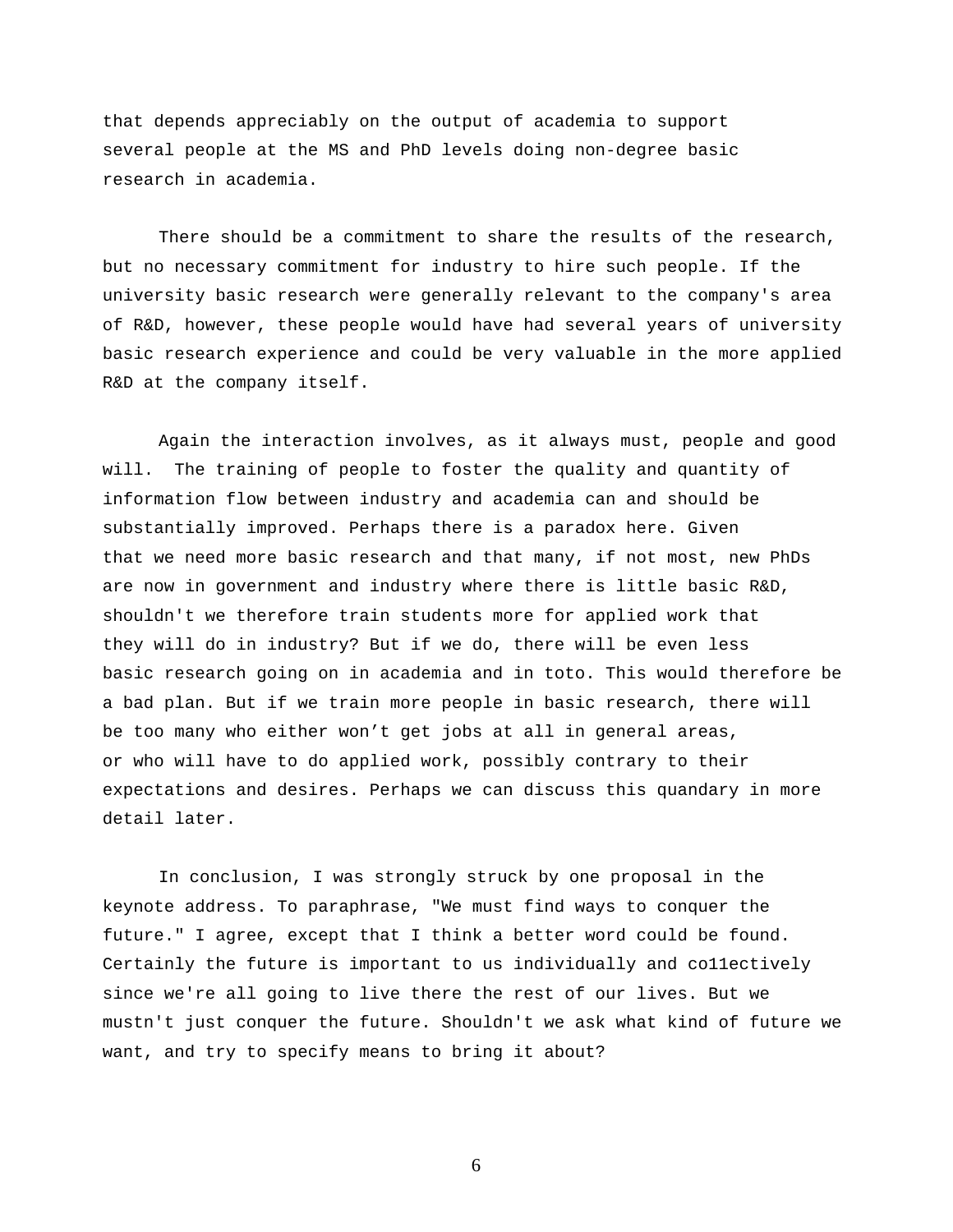that depends appreciably on the output of academia to support several people at the MS and PhD levels doing non-degree basic research in academia.

There should be a commitment to share the results of the research, but no necessary commitment for industry to hire such people. If the university basic research were generally relevant to the company's area of R&D, however, these people would have had several years of university basic research experience and could be very valuable in the more applied R&D at the company itself.

Again the interaction involves, as it always must, people and good will. The training of people to foster the quality and quantity of information flow between industry and academia can and should be substantially improved. Perhaps there is a paradox here. Given that we need more basic research and that many, if not most, new PhDs are now in government and industry where there is little basic R&D, shouldn't we therefore train students more for applied work that they will do in industry? But if we do, there will be even less basic research going on in academia and in toto. This would therefore be a bad plan. But if we train more people in basic research, there will be too many who either won't get jobs at all in general areas, or who will have to do applied work, possibly contrary to their expectations and desires. Perhaps we can discuss this quandary in more detail later.

In conclusion, I was strongly struck by one proposal in the keynote address. To paraphrase, "We must find ways to conquer the future." I agree, except that I think a better word could be found. Certainly the future is important to us individually and co11ectively since we're all going to live there the rest of our lives. But we mustn't just conquer the future. Shouldn't we ask what kind of future we want, and try to specify means to bring it about?